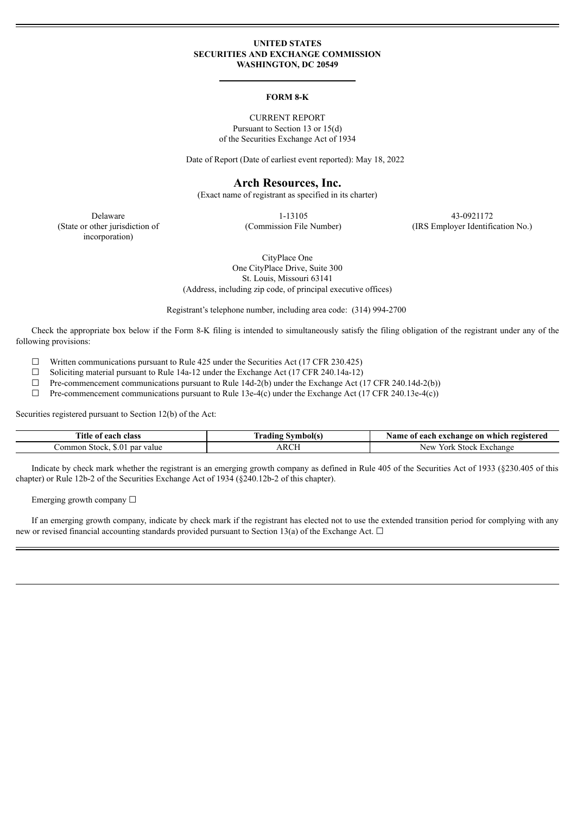### **UNITED STATES SECURITIES AND EXCHANGE COMMISSION WASHINGTON, DC 20549**

#### **FORM 8-K**

CURRENT REPORT Pursuant to Section 13 or 15(d) of the Securities Exchange Act of 1934

Date of Report (Date of earliest event reported): May 18, 2022

## **Arch Resources, Inc.**

(Exact name of registrant as specified in its charter)

(State or other jurisdiction of incorporation)

Delaware 1-13105 43-0921172

(Commission File Number) (IRS Employer Identification No.)

CityPlace One One CityPlace Drive, Suite 300 St. Louis, Missouri 63141 (Address, including zip code, of principal executive offices)

Registrant's telephone number, including area code: (314) 994-2700

Check the appropriate box below if the Form 8-K filing is intended to simultaneously satisfy the filing obligation of the registrant under any of the following provisions:

 $\Box$  Written communications pursuant to Rule 425 under the Securities Act (17 CFR 230.425)

☐ Soliciting material pursuant to Rule 14a-12 under the Exchange Act (17 CFR 240.14a-12)

 $\Box$  Pre-commencement communications pursuant to Rule 14d-2(b) under the Exchange Act (17 CFR 240.14d-2(b))

 $\Box$  Pre-commencement communications pursuant to Rule 13e-4(c) under the Exchange Act (17 CFR 240.13e-4(c))

Securities registered pursuant to Section 12(b) of the Act:

| $-1$<br><b>fitle of each class</b>                                   | ---<br>Symbolts<br>radıng | registered<br>Name<br>which<br>exchange on<br>each |
|----------------------------------------------------------------------|---------------------------|----------------------------------------------------|
| \$.0<br>∠ommon<br>par<br>value<br>$t \alpha \alpha$<br><b>SLOCK.</b> | ARCF                      | Exchange<br><b>Stock</b><br>New<br>ork)            |

Indicate by check mark whether the registrant is an emerging growth company as defined in Rule 405 of the Securities Act of 1933 (§230.405 of this chapter) or Rule 12b-2 of the Securities Exchange Act of 1934 (§240.12b-2 of this chapter).

Emerging growth company  $\Box$ 

If an emerging growth company, indicate by check mark if the registrant has elected not to use the extended transition period for complying with any new or revised financial accounting standards provided pursuant to Section 13(a) of the Exchange Act.  $\Box$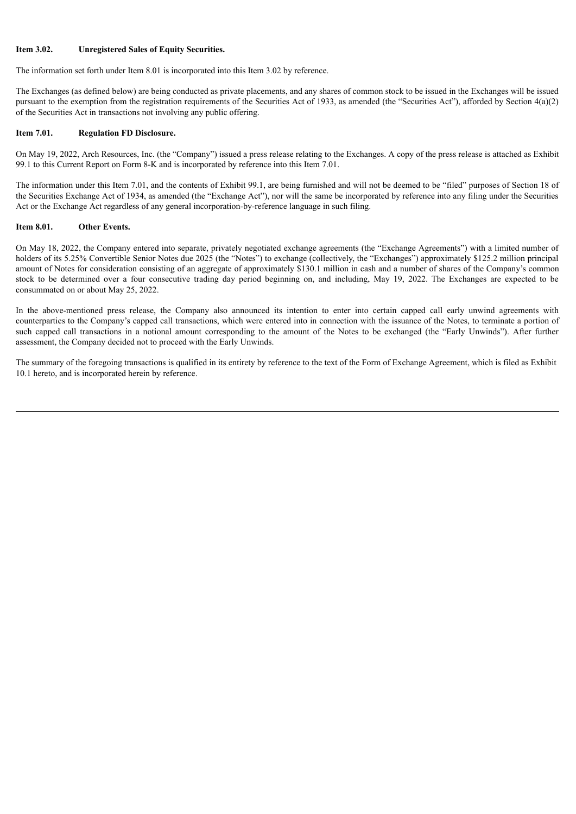### **Item 3.02. Unregistered Sales of Equity Securities.**

The information set forth under Item 8.01 is incorporated into this Item 3.02 by reference.

The Exchanges (as defined below) are being conducted as private placements, and any shares of common stock to be issued in the Exchanges will be issued pursuant to the exemption from the registration requirements of the Securities Act of 1933, as amended (the "Securities Act"), afforded by Section 4(a)(2) of the Securities Act in transactions not involving any public offering.

### **Item 7.01. Regulation FD Disclosure.**

On May 19, 2022, Arch Resources, Inc. (the "Company") issued a press release relating to the Exchanges. A copy of the press release is attached as Exhibit 99.1 to this Current Report on Form 8-K and is incorporated by reference into this Item 7.01.

The information under this Item 7.01, and the contents of Exhibit 99.1, are being furnished and will not be deemed to be "filed" purposes of Section 18 of the Securities Exchange Act of 1934, as amended (the "Exchange Act"), nor will the same be incorporated by reference into any filing under the Securities Act or the Exchange Act regardless of any general incorporation-by-reference language in such filing.

### **Item 8.01. Other Events.**

On May 18, 2022, the Company entered into separate, privately negotiated exchange agreements (the "Exchange Agreements") with a limited number of holders of its 5.25% Convertible Senior Notes due 2025 (the "Notes") to exchange (collectively, the "Exchanges") approximately \$125.2 million principal amount of Notes for consideration consisting of an aggregate of approximately \$130.1 million in cash and a number of shares of the Company's common stock to be determined over a four consecutive trading day period beginning on, and including, May 19, 2022. The Exchanges are expected to be consummated on or about May 25, 2022.

In the above-mentioned press release, the Company also announced its intention to enter into certain capped call early unwind agreements with counterparties to the Company's capped call transactions, which were entered into in connection with the issuance of the Notes, to terminate a portion of such capped call transactions in a notional amount corresponding to the amount of the Notes to be exchanged (the "Early Unwinds"). After further assessment, the Company decided not to proceed with the Early Unwinds.

The summary of the foregoing transactions is qualified in its entirety by reference to the text of the Form of Exchange Agreement, which is filed as Exhibit 10.1 hereto, and is incorporated herein by reference.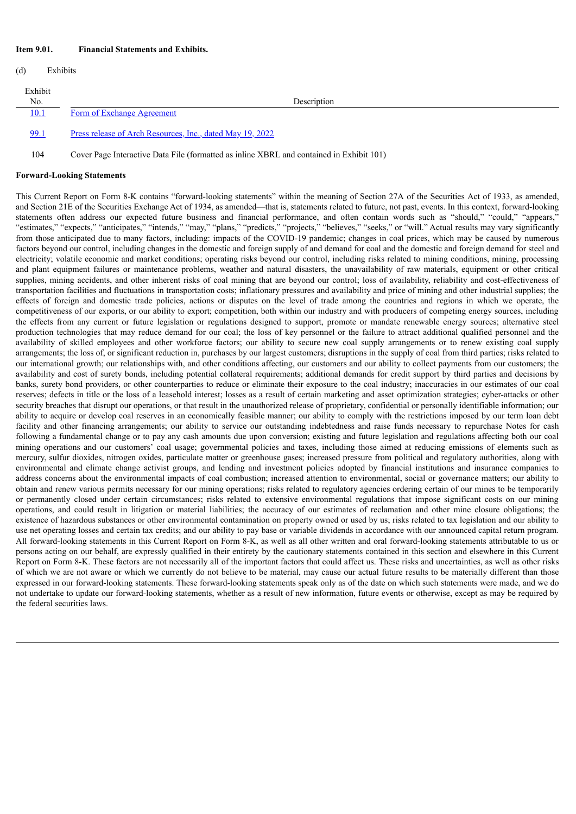### **Item 9.01. Financial Statements and Exhibits.**

| (d)                  | Exhibits |                                                           |  |
|----------------------|----------|-----------------------------------------------------------|--|
| Exhibit<br>$\rm No.$ |          | Description                                               |  |
| 10.1                 |          | Form of Exchange Agreement                                |  |
| 99.1                 |          | Press release of Arch Resources, Inc., dated May 19, 2022 |  |

104 Cover Page Interactive Data File (formatted as inline XBRL and contained in Exhibit 101)

#### **Forward-Looking Statements**

This Current Report on Form 8-K contains "forward-looking statements" within the meaning of Section 27A of the Securities Act of 1933, as amended, and Section 21E of the Securities Exchange Act of 1934, as amended—that is, statements related to future, not past, events. In this context, forward-looking statements often address our expected future business and financial performance, and often contain words such as "should," "could," "appears," "estimates," "expects," "anticipates," "intends," "may," "plans," "predicts," "projects," "believes," "seeks," or "will." Actual results may vary significantly from those anticipated due to many factors, including: impacts of the COVID-19 pandemic; changes in coal prices, which may be caused by numerous factors beyond our control, including changes in the domestic and foreign supply of and demand for coal and the domestic and foreign demand for steel and electricity; volatile economic and market conditions; operating risks beyond our control, including risks related to mining conditions, mining, processing and plant equipment failures or maintenance problems, weather and natural disasters, the unavailability of raw materials, equipment or other critical supplies, mining accidents, and other inherent risks of coal mining that are beyond our control; loss of availability, reliability and cost-effectiveness of transportation facilities and fluctuations in transportation costs; inflationary pressures and availability and price of mining and other industrial supplies; the effects of foreign and domestic trade policies, actions or disputes on the level of trade among the countries and regions in which we operate, the competitiveness of our exports, or our ability to export; competition, both within our industry and with producers of competing energy sources, including the effects from any current or future legislation or regulations designed to support, promote or mandate renewable energy sources; alternative steel production technologies that may reduce demand for our coal; the loss of key personnel or the failure to attract additional qualified personnel and the availability of skilled employees and other workforce factors; our ability to secure new coal supply arrangements or to renew existing coal supply arrangements; the loss of, or significant reduction in, purchases by our largest customers; disruptions in the supply of coal from third parties; risks related to our international growth; our relationships with, and other conditions affecting, our customers and our ability to collect payments from our customers; the availability and cost of surety bonds, including potential collateral requirements; additional demands for credit support by third parties and decisions by banks, surety bond providers, or other counterparties to reduce or eliminate their exposure to the coal industry; inaccuracies in our estimates of our coal reserves; defects in title or the loss of a leasehold interest; losses as a result of certain marketing and asset optimization strategies; cyber-attacks or other security breaches that disrupt our operations, or that result in the unauthorized release of proprietary, confidential or personally identifiable information; our ability to acquire or develop coal reserves in an economically feasible manner; our ability to comply with the restrictions imposed by our term loan debt facility and other financing arrangements; our ability to service our outstanding indebtedness and raise funds necessary to repurchase Notes for cash following a fundamental change or to pay any cash amounts due upon conversion; existing and future legislation and regulations affecting both our coal mining operations and our customers' coal usage; governmental policies and taxes, including those aimed at reducing emissions of elements such as mercury, sulfur dioxides, nitrogen oxides, particulate matter or greenhouse gases; increased pressure from political and regulatory authorities, along with environmental and climate change activist groups, and lending and investment policies adopted by financial institutions and insurance companies to address concerns about the environmental impacts of coal combustion; increased attention to environmental, social or governance matters; our ability to obtain and renew various permits necessary for our mining operations; risks related to regulatory agencies ordering certain of our mines to be temporarily or permanently closed under certain circumstances; risks related to extensive environmental regulations that impose significant costs on our mining operations, and could result in litigation or material liabilities; the accuracy of our estimates of reclamation and other mine closure obligations; the existence of hazardous substances or other environmental contamination on property owned or used by us; risks related to tax legislation and our ability to use net operating losses and certain tax credits; and our ability to pay base or variable dividends in accordance with our announced capital return program. All forward-looking statements in this Current Report on Form 8-K, as well as all other written and oral forward-looking statements attributable to us or persons acting on our behalf, are expressly qualified in their entirety by the cautionary statements contained in this section and elsewhere in this Current Report on Form 8-K. These factors are not necessarily all of the important factors that could affect us. These risks and uncertainties, as well as other risks of which we are not aware or which we currently do not believe to be material, may cause our actual future results to be materially different than those expressed in our forward-looking statements. These forward-looking statements speak only as of the date on which such statements were made, and we do not undertake to update our forward-looking statements, whether as a result of new information, future events or otherwise, except as may be required by the federal securities laws.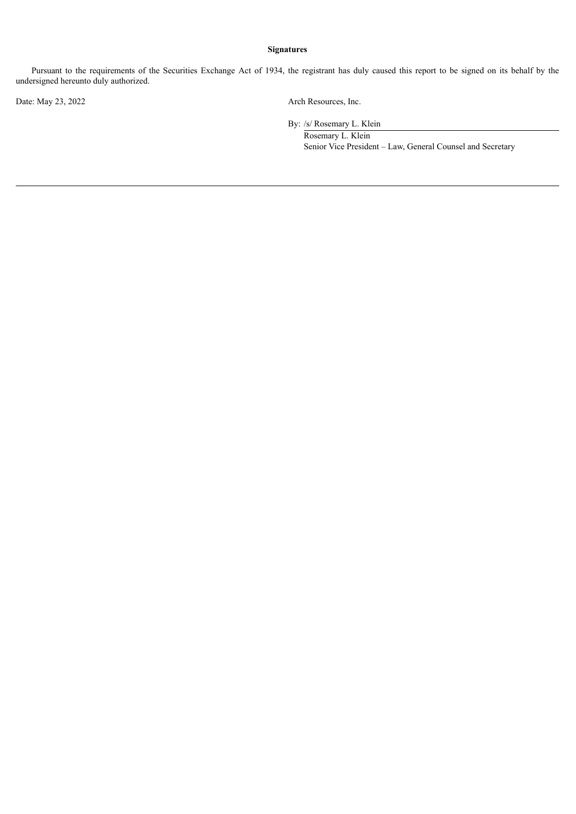## **Signatures**

Pursuant to the requirements of the Securities Exchange Act of 1934, the registrant has duly caused this report to be signed on its behalf by the undersigned hereunto duly authorized.

Date: May 23, 2022 Arch Resources, Inc.

By: /s/ Rosemary L. Klein

Rosemary L. Klein Senior Vice President – Law, General Counsel and Secretary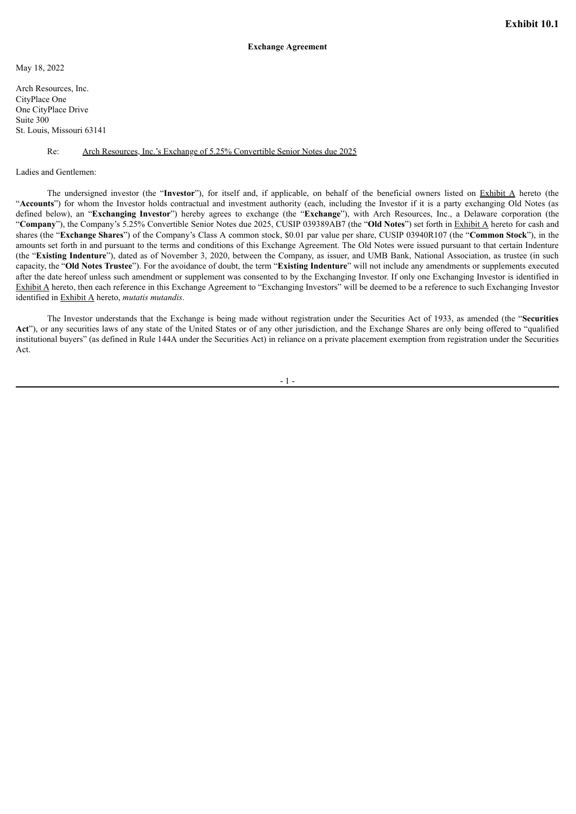<span id="page-4-0"></span>May 18, 2022

Arch Resources, Inc. CityPlace One One CityPlace Drive Suite 300 St. Louis, Missouri 63141

#### Re: Arch Resources, Inc.'s Exchange of 5.25% Convertible Senior Notes due 2025

Ladies and Gentlemen:

The undersigned investor (the "**Investor**"), for itself and, if applicable, on behalf of the beneficial owners listed on Exhibit A hereto (the "**Accounts**") for whom the Investor holds contractual and investment authority (each, including the Investor if it is a party exchanging Old Notes (as defined below), an "**Exchanging Investor**") hereby agrees to exchange (the "**Exchange**"), with Arch Resources, Inc., a Delaware corporation (the "**Company**"), the Company's 5.25% Convertible Senior Notes due 2025, CUSIP 039389AB7 (the "**Old Notes**") set forth in Exhibit A hereto for cash and shares (the "**Exchange Shares**") of the Company's Class A common stock, \$0.01 par value per share, CUSIP 03940R107 (the "**Common Stock**"), in the amounts set forth in and pursuant to the terms and conditions of this Exchange Agreement. The Old Notes were issued pursuant to that certain Indenture (the "**Existing Indenture**"), dated as of November 3, 2020, between the Company, as issuer, and UMB Bank, National Association, as trustee (in such capacity, the "**Old Notes Trustee**"). For the avoidance of doubt, the term "**Existing Indenture**" will not include any amendments or supplements executed after the date hereof unless such amendment or supplement was consented to by the Exchanging Investor. If only one Exchanging Investor is identified in Exhibit A hereto, then each reference in this Exchange Agreement to "Exchanging Investors" will be deemed to be a reference to such Exchanging Investor identified in Exhibit A hereto, *mutatis mutandis*.

The Investor understands that the Exchange is being made without registration under the Securities Act of 1933, as amended (the "**Securities** Act"), or any securities laws of any state of the United States or of any other jurisdiction, and the Exchange Shares are only being offered to "qualified" institutional buyers" (as defined in Rule 144A under the Securities Act) in reliance on a private placement exemption from registration under the Securities Act.

- 1 -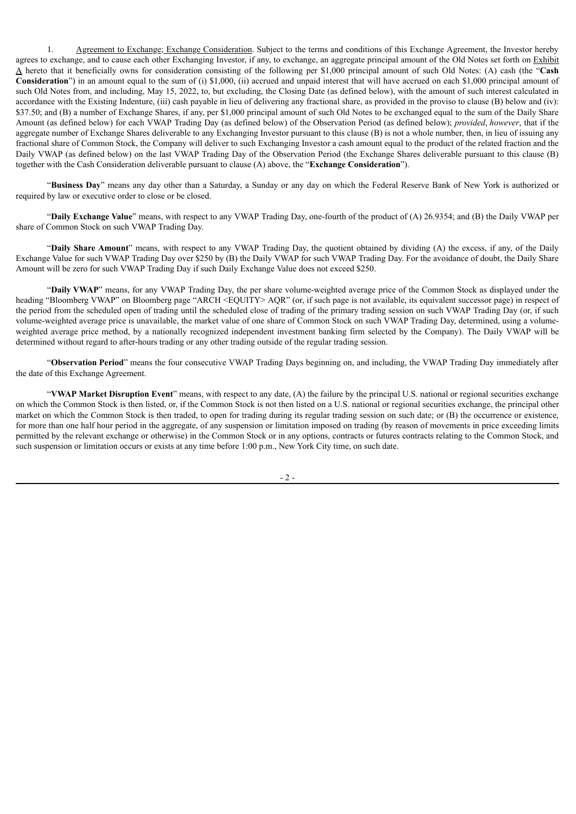1. Agreement to Exchange; Exchange Consideration. Subject to the terms and conditions of this Exchange Agreement, the Investor hereby agrees to exchange, and to cause each other Exchanging Investor, if any, to exchange, an aggregate principal amount of the Old Notes set forth on Exhibit A hereto that it beneficially owns for consideration consisting of the following per \$1,000 principal amount of such Old Notes: (A) cash (the "**Cash Consideration**") in an amount equal to the sum of (i) \$1,000, (ii) accrued and unpaid interest that will have accrued on each \$1,000 principal amount of such Old Notes from, and including, May 15, 2022, to, but excluding, the Closing Date (as defined below), with the amount of such interest calculated in accordance with the Existing Indenture, (iii) cash payable in lieu of delivering any fractional share, as provided in the proviso to clause (B) below and (iv): \$37.50; and (B) a number of Exchange Shares, if any, per \$1,000 principal amount of such Old Notes to be exchanged equal to the sum of the Daily Share Amount (as defined below) for each VWAP Trading Day (as defined below) of the Observation Period (as defined below); *provided*, *however*, that if the aggregate number of Exchange Shares deliverable to any Exchanging Investor pursuant to this clause (B) is not a whole number, then, in lieu of issuing any fractional share of Common Stock, the Company will deliver to such Exchanging Investor a cash amount equal to the product of the related fraction and the Daily VWAP (as defined below) on the last VWAP Trading Day of the Observation Period (the Exchange Shares deliverable pursuant to this clause (B) together with the Cash Consideration deliverable pursuant to clause (A) above, the "**Exchange Consideration**").

"**Business Day**" means any day other than a Saturday, a Sunday or any day on which the Federal Reserve Bank of New York is authorized or required by law or executive order to close or be closed.

"**Daily Exchange Value**" means, with respect to any VWAP Trading Day, one-fourth of the product of (A) 26.9354; and (B) the Daily VWAP per share of Common Stock on such VWAP Trading Day.

"**Daily Share Amount**" means, with respect to any VWAP Trading Day, the quotient obtained by dividing (A) the excess, if any, of the Daily Exchange Value for such VWAP Trading Day over \$250 by (B) the Daily VWAP for such VWAP Trading Day. For the avoidance of doubt, the Daily Share Amount will be zero for such VWAP Trading Day if such Daily Exchange Value does not exceed \$250.

"**Daily VWAP**" means, for any VWAP Trading Day, the per share volume-weighted average price of the Common Stock as displayed under the heading "Bloomberg VWAP" on Bloomberg page "ARCH <EQUITY> AQR" (or, if such page is not available, its equivalent successor page) in respect of the period from the scheduled open of trading until the scheduled close of trading of the primary trading session on such VWAP Trading Day (or, if such volume-weighted average price is unavailable, the market value of one share of Common Stock on such VWAP Trading Day, determined, using a volumeweighted average price method, by a nationally recognized independent investment banking firm selected by the Company). The Daily VWAP will be determined without regard to after-hours trading or any other trading outside of the regular trading session.

"**Observation Period**" means the four consecutive VWAP Trading Days beginning on, and including, the VWAP Trading Day immediately after the date of this Exchange Agreement.

"**VWAP Market Disruption Event**" means, with respect to any date, (A) the failure by the principal U.S. national or regional securities exchange on which the Common Stock is then listed, or, if the Common Stock is not then listed on a U.S. national or regional securities exchange, the principal other market on which the Common Stock is then traded, to open for trading during its regular trading session on such date; or (B) the occurrence or existence, for more than one half hour period in the aggregate, of any suspension or limitation imposed on trading (by reason of movements in price exceeding limits permitted by the relevant exchange or otherwise) in the Common Stock or in any options, contracts or futures contracts relating to the Common Stock, and such suspension or limitation occurs or exists at any time before 1:00 p.m., New York City time, on such date.

- 2 -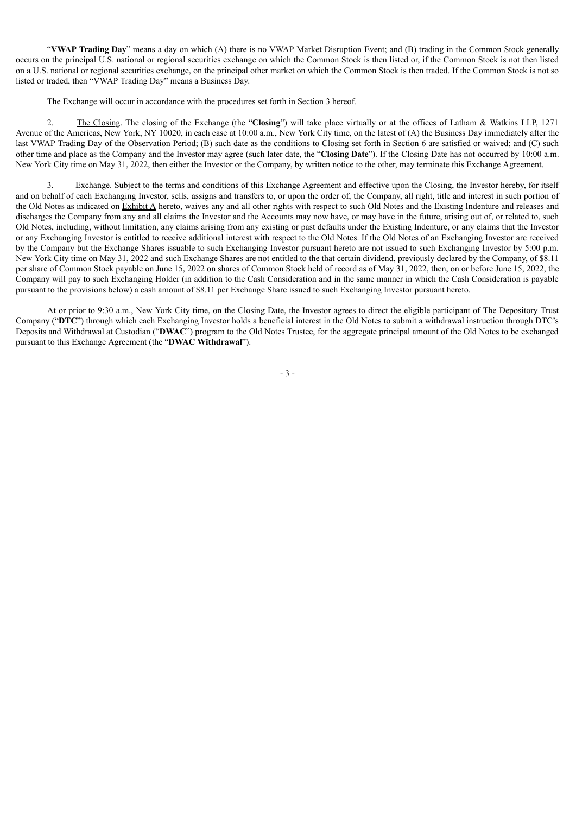"**VWAP Trading Day**" means a day on which (A) there is no VWAP Market Disruption Event; and (B) trading in the Common Stock generally occurs on the principal U.S. national or regional securities exchange on which the Common Stock is then listed or, if the Common Stock is not then listed on a U.S. national or regional securities exchange, on the principal other market on which the Common Stock is then traded. If the Common Stock is not so listed or traded, then "VWAP Trading Day" means a Business Day.

The Exchange will occur in accordance with the procedures set forth in Section 3 hereof.

2. The Closing. The closing of the Exchange (the "**Closing**") will take place virtually or at the offices of Latham & Watkins LLP, 1271 Avenue of the Americas, New York, NY 10020, in each case at 10:00 a.m., New York City time, on the latest of (A) the Business Day immediately after the last VWAP Trading Day of the Observation Period; (B) such date as the conditions to Closing set forth in Section 6 are satisfied or waived; and (C) such other time and place as the Company and the Investor may agree (such later date, the "**Closing Date**"). If the Closing Date has not occurred by 10:00 a.m. New York City time on May 31, 2022, then either the Investor or the Company, by written notice to the other, may terminate this Exchange Agreement.

3. Exchange. Subject to the terms and conditions of this Exchange Agreement and effective upon the Closing, the Investor hereby, for itself and on behalf of each Exchanging Investor, sells, assigns and transfers to, or upon the order of, the Company, all right, title and interest in such portion of the Old Notes as indicated on Exhibit A hereto, waives any and all other rights with respect to such Old Notes and the Existing Indenture and releases and discharges the Company from any and all claims the Investor and the Accounts may now have, or may have in the future, arising out of, or related to, such Old Notes, including, without limitation, any claims arising from any existing or past defaults under the Existing Indenture, or any claims that the Investor or any Exchanging Investor is entitled to receive additional interest with respect to the Old Notes. If the Old Notes of an Exchanging Investor are received by the Company but the Exchange Shares issuable to such Exchanging Investor pursuant hereto are not issued to such Exchanging Investor by 5:00 p.m. New York City time on May 31, 2022 and such Exchange Shares are not entitled to the that certain dividend, previously declared by the Company, of \$8.11 per share of Common Stock payable on June 15, 2022 on shares of Common Stock held of record as of May 31, 2022, then, on or before June 15, 2022, the Company will pay to such Exchanging Holder (in addition to the Cash Consideration and in the same manner in which the Cash Consideration is payable pursuant to the provisions below) a cash amount of \$8.11 per Exchange Share issued to such Exchanging Investor pursuant hereto.

At or prior to 9:30 a.m., New York City time, on the Closing Date, the Investor agrees to direct the eligible participant of The Depository Trust Company ("**DTC**") through which each Exchanging Investor holds a beneficial interest in the Old Notes to submit a withdrawal instruction through DTC's Deposits and Withdrawal at Custodian ("**DWAC**") program to the Old Notes Trustee, for the aggregate principal amount of the Old Notes to be exchanged pursuant to this Exchange Agreement (the "**DWAC Withdrawal**").

- 3 -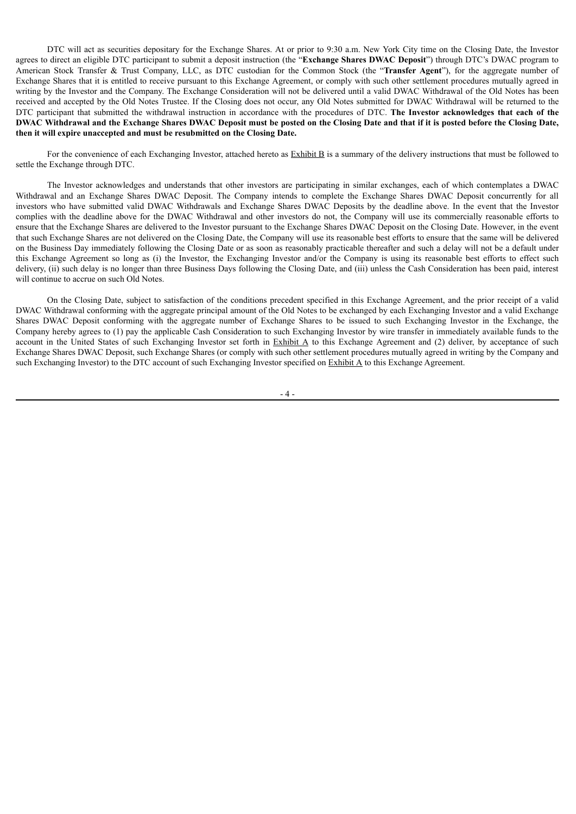DTC will act as securities depositary for the Exchange Shares. At or prior to 9:30 a.m. New York City time on the Closing Date, the Investor agrees to direct an eligible DTC participant to submit a deposit instruction (the "**Exchange Shares DWAC Deposit**") through DTC's DWAC program to American Stock Transfer & Trust Company, LLC, as DTC custodian for the Common Stock (the "**Transfer Agent**"), for the aggregate number of Exchange Shares that it is entitled to receive pursuant to this Exchange Agreement, or comply with such other settlement procedures mutually agreed in writing by the Investor and the Company. The Exchange Consideration will not be delivered until a valid DWAC Withdrawal of the Old Notes has been received and accepted by the Old Notes Trustee. If the Closing does not occur, any Old Notes submitted for DWAC Withdrawal will be returned to the DTC participant that submitted the withdrawal instruction in accordance with the procedures of DTC. **The Investor acknowledges that each of the** DWAC Withdrawal and the Exchange Shares DWAC Deposit must be posted on the Closing Date and that if it is posted before the Closing Date, **then it will expire unaccepted and must be resubmitted on the Closing Date.**

For the convenience of each Exchanging Investor, attached hereto as **Exhibit B** is a summary of the delivery instructions that must be followed to settle the Exchange through DTC.

The Investor acknowledges and understands that other investors are participating in similar exchanges, each of which contemplates a DWAC Withdrawal and an Exchange Shares DWAC Deposit. The Company intends to complete the Exchange Shares DWAC Deposit concurrently for all investors who have submitted valid DWAC Withdrawals and Exchange Shares DWAC Deposits by the deadline above. In the event that the Investor complies with the deadline above for the DWAC Withdrawal and other investors do not, the Company will use its commercially reasonable efforts to ensure that the Exchange Shares are delivered to the Investor pursuant to the Exchange Shares DWAC Deposit on the Closing Date. However, in the event that such Exchange Shares are not delivered on the Closing Date, the Company will use its reasonable best efforts to ensure that the same will be delivered on the Business Day immediately following the Closing Date or as soon as reasonably practicable thereafter and such a delay will not be a default under this Exchange Agreement so long as (i) the Investor, the Exchanging Investor and/or the Company is using its reasonable best efforts to effect such delivery, (ii) such delay is no longer than three Business Days following the Closing Date, and (iii) unless the Cash Consideration has been paid, interest will continue to accrue on such Old Notes.

On the Closing Date, subject to satisfaction of the conditions precedent specified in this Exchange Agreement, and the prior receipt of a valid DWAC Withdrawal conforming with the aggregate principal amount of the Old Notes to be exchanged by each Exchanging Investor and a valid Exchange Shares DWAC Deposit conforming with the aggregate number of Exchange Shares to be issued to such Exchanging Investor in the Exchange, the Company hereby agrees to (1) pay the applicable Cash Consideration to such Exchanging Investor by wire transfer in immediately available funds to the account in the United States of such Exchanging Investor set forth in  $\frac{Exhibit A}{A}$  to this Exchange Agreement and (2) deliver, by acceptance of such Exchange Shares DWAC Deposit, such Exchange Shares (or comply with such other settlement procedures mutually agreed in writing by the Company and such Exchanging Investor) to the DTC account of such Exchanging Investor specified on Exhibit A to this Exchange Agreement.

- 4 -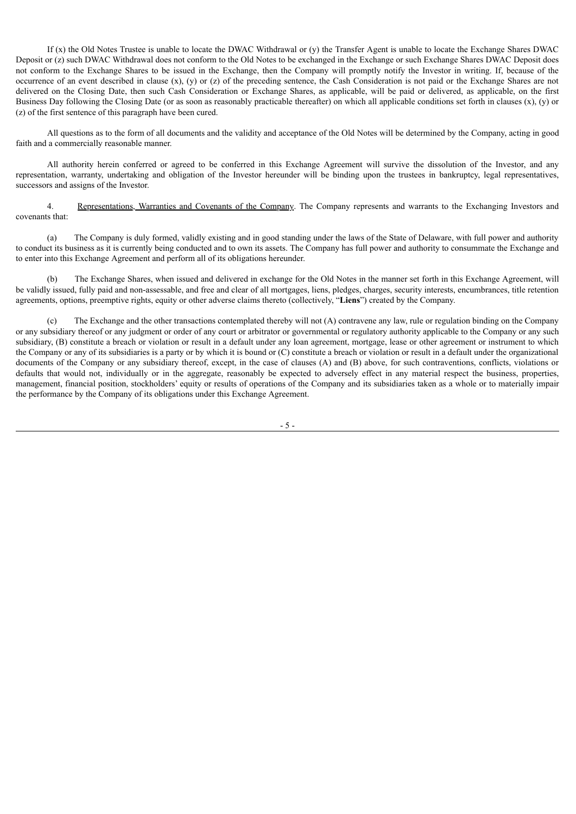If (x) the Old Notes Trustee is unable to locate the DWAC Withdrawal or (y) the Transfer Agent is unable to locate the Exchange Shares DWAC Deposit or (z) such DWAC Withdrawal does not conform to the Old Notes to be exchanged in the Exchange or such Exchange Shares DWAC Deposit does not conform to the Exchange Shares to be issued in the Exchange, then the Company will promptly notify the Investor in writing. If, because of the occurrence of an event described in clause  $(x)$ ,  $(y)$  or  $(z)$  of the preceding sentence, the Cash Consideration is not paid or the Exchange Shares are not delivered on the Closing Date, then such Cash Consideration or Exchange Shares, as applicable, will be paid or delivered, as applicable, on the first Business Day following the Closing Date (or as soon as reasonably practicable thereafter) on which all applicable conditions set forth in clauses (x), (y) or (z) of the first sentence of this paragraph have been cured.

All questions as to the form of all documents and the validity and acceptance of the Old Notes will be determined by the Company, acting in good faith and a commercially reasonable manner.

All authority herein conferred or agreed to be conferred in this Exchange Agreement will survive the dissolution of the Investor, and any representation, warranty, undertaking and obligation of the Investor hereunder will be binding upon the trustees in bankruptcy, legal representatives, successors and assigns of the Investor.

4. Representations, Warranties and Covenants of the Company. The Company represents and warrants to the Exchanging Investors and covenants that:

(a) The Company is duly formed, validly existing and in good standing under the laws of the State of Delaware, with full power and authority to conduct its business as it is currently being conducted and to own its assets. The Company has full power and authority to consummate the Exchange and to enter into this Exchange Agreement and perform all of its obligations hereunder.

(b) The Exchange Shares, when issued and delivered in exchange for the Old Notes in the manner set forth in this Exchange Agreement, will be validly issued, fully paid and non-assessable, and free and clear of all mortgages, liens, pledges, charges, security interests, encumbrances, title retention agreements, options, preemptive rights, equity or other adverse claims thereto (collectively, "**Liens**") created by the Company.

(c) The Exchange and the other transactions contemplated thereby will not (A) contravene any law, rule or regulation binding on the Company or any subsidiary thereof or any judgment or order of any court or arbitrator or governmental or regulatory authority applicable to the Company or any such subsidiary, (B) constitute a breach or violation or result in a default under any loan agreement, mortgage, lease or other agreement or instrument to which the Company or any of its subsidiaries is a party or by which it is bound or (C) constitute a breach or violation or result in a default under the organizational documents of the Company or any subsidiary thereof, except, in the case of clauses (A) and (B) above, for such contraventions, conflicts, violations or defaults that would not, individually or in the aggregate, reasonably be expected to adversely effect in any material respect the business, properties, management, financial position, stockholders' equity or results of operations of the Company and its subsidiaries taken as a whole or to materially impair the performance by the Company of its obligations under this Exchange Agreement.

- 5 -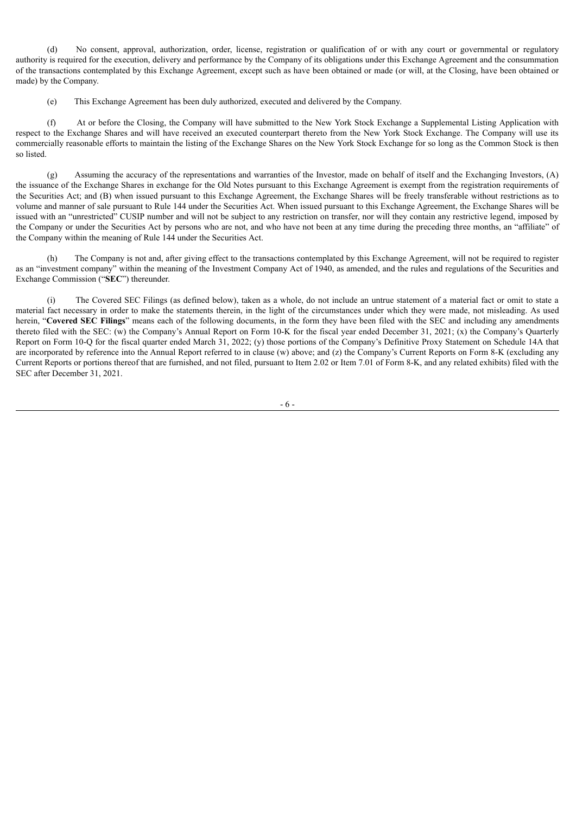(d) No consent, approval, authorization, order, license, registration or qualification of or with any court or governmental or regulatory authority is required for the execution, delivery and performance by the Company of its obligations under this Exchange Agreement and the consummation of the transactions contemplated by this Exchange Agreement, except such as have been obtained or made (or will, at the Closing, have been obtained or made) by the Company.

(e) This Exchange Agreement has been duly authorized, executed and delivered by the Company.

(f) At or before the Closing, the Company will have submitted to the New York Stock Exchange a Supplemental Listing Application with respect to the Exchange Shares and will have received an executed counterpart thereto from the New York Stock Exchange. The Company will use its commercially reasonable efforts to maintain the listing of the Exchange Shares on the New York Stock Exchange for so long as the Common Stock is then so listed.

(g) Assuming the accuracy of the representations and warranties of the Investor, made on behalf of itself and the Exchanging Investors, (A) the issuance of the Exchange Shares in exchange for the Old Notes pursuant to this Exchange Agreement is exempt from the registration requirements of the Securities Act; and (B) when issued pursuant to this Exchange Agreement, the Exchange Shares will be freely transferable without restrictions as to volume and manner of sale pursuant to Rule 144 under the Securities Act. When issued pursuant to this Exchange Agreement, the Exchange Shares will be issued with an "unrestricted" CUSIP number and will not be subject to any restriction on transfer, nor will they contain any restrictive legend, imposed by the Company or under the Securities Act by persons who are not, and who have not been at any time during the preceding three months, an "affiliate" of the Company within the meaning of Rule 144 under the Securities Act.

(h) The Company is not and, after giving effect to the transactions contemplated by this Exchange Agreement, will not be required to register as an "investment company" within the meaning of the Investment Company Act of 1940, as amended, and the rules and regulations of the Securities and Exchange Commission ("**SEC**") thereunder.

The Covered SEC Filings (as defined below), taken as a whole, do not include an untrue statement of a material fact or omit to state a material fact necessary in order to make the statements therein, in the light of the circumstances under which they were made, not misleading. As used herein, "**Covered SEC Filings**" means each of the following documents, in the form they have been filed with the SEC and including any amendments thereto filed with the SEC: (w) the Company's Annual Report on Form 10-K for the fiscal year ended December 31, 2021; (x) the Company's Quarterly Report on Form 10-Q for the fiscal quarter ended March 31, 2022; (y) those portions of the Company's Definitive Proxy Statement on Schedule 14A that are incorporated by reference into the Annual Report referred to in clause (w) above; and (z) the Company's Current Reports on Form 8-K (excluding any Current Reports or portions thereof that are furnished, and not filed, pursuant to Item 2.02 or Item 7.01 of Form 8-K, and any related exhibits) filed with the SEC after December 31, 2021.

- 6 -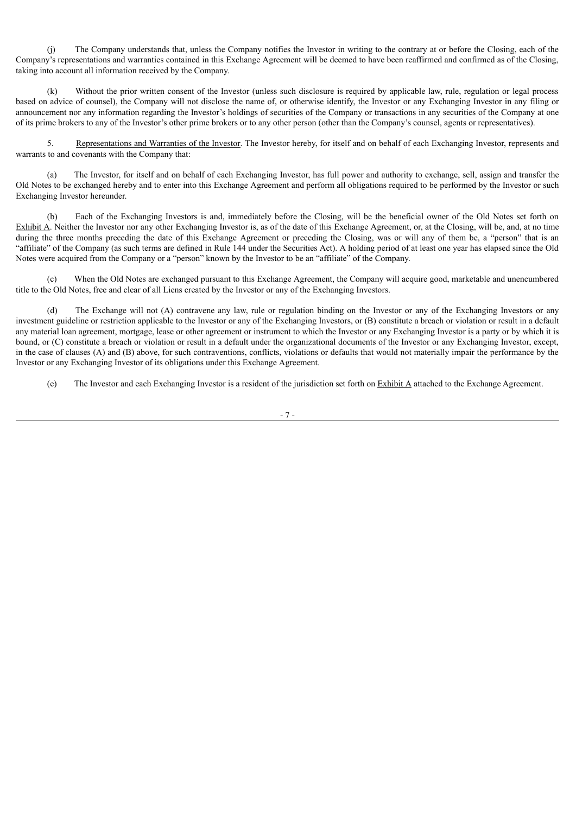(j) The Company understands that, unless the Company notifies the Investor in writing to the contrary at or before the Closing, each of the Company's representations and warranties contained in this Exchange Agreement will be deemed to have been reaffirmed and confirmed as of the Closing, taking into account all information received by the Company.

(k) Without the prior written consent of the Investor (unless such disclosure is required by applicable law, rule, regulation or legal process based on advice of counsel), the Company will not disclose the name of, or otherwise identify, the Investor or any Exchanging Investor in any filing or announcement nor any information regarding the Investor's holdings of securities of the Company or transactions in any securities of the Company at one of its prime brokers to any of the Investor's other prime brokers or to any other person (other than the Company's counsel, agents or representatives).

5. Representations and Warranties of the Investor. The Investor hereby, for itself and on behalf of each Exchanging Investor, represents and warrants to and covenants with the Company that:

(a) The Investor, for itself and on behalf of each Exchanging Investor, has full power and authority to exchange, sell, assign and transfer the Old Notes to be exchanged hereby and to enter into this Exchange Agreement and perform all obligations required to be performed by the Investor or such Exchanging Investor hereunder.

(b) Each of the Exchanging Investors is and, immediately before the Closing, will be the beneficial owner of the Old Notes set forth on Exhibit A. Neither the Investor nor any other Exchanging Investor is, as of the date of this Exchange Agreement, or, at the Closing, will be, and, at no time during the three months preceding the date of this Exchange Agreement or preceding the Closing, was or will any of them be, a "person" that is an "affiliate" of the Company (as such terms are defined in Rule 144 under the Securities Act). A holding period of at least one year has elapsed since the Old Notes were acquired from the Company or a "person" known by the Investor to be an "affiliate" of the Company.

When the Old Notes are exchanged pursuant to this Exchange Agreement, the Company will acquire good, marketable and unencumbered title to the Old Notes, free and clear of all Liens created by the Investor or any of the Exchanging Investors.

(d) The Exchange will not (A) contravene any law, rule or regulation binding on the Investor or any of the Exchanging Investors or any investment guideline or restriction applicable to the Investor or any of the Exchanging Investors, or (B) constitute a breach or violation or result in a default any material loan agreement, mortgage, lease or other agreement or instrument to which the Investor or any Exchanging Investor is a party or by which it is bound, or (C) constitute a breach or violation or result in a default under the organizational documents of the Investor or any Exchanging Investor, except, in the case of clauses (A) and (B) above, for such contraventions, conflicts, violations or defaults that would not materially impair the performance by the Investor or any Exchanging Investor of its obligations under this Exchange Agreement.

(e) The Investor and each Exchanging Investor is a resident of the jurisdiction set forth on Exhibit  $\Delta$  attached to the Exchange Agreement.

- 7 -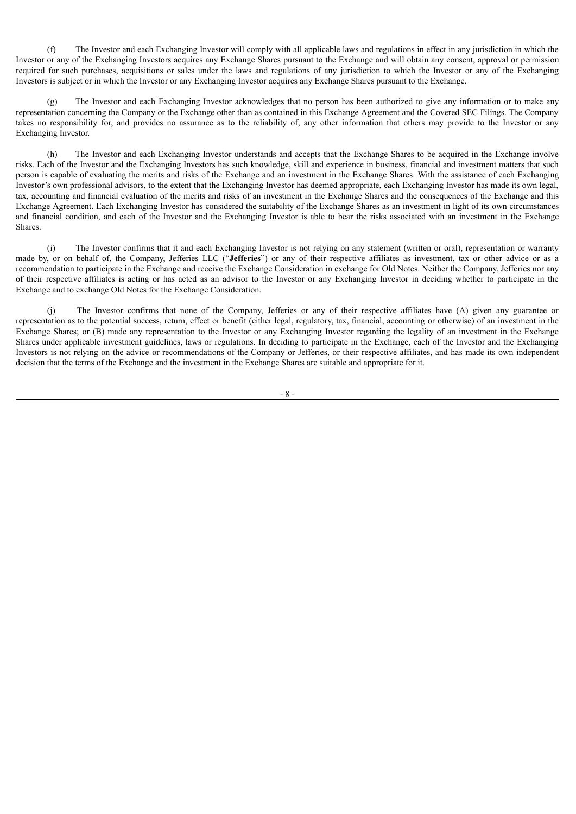(f) The Investor and each Exchanging Investor will comply with all applicable laws and regulations in effect in any jurisdiction in which the Investor or any of the Exchanging Investors acquires any Exchange Shares pursuant to the Exchange and will obtain any consent, approval or permission required for such purchases, acquisitions or sales under the laws and regulations of any jurisdiction to which the Investor or any of the Exchanging Investors is subject or in which the Investor or any Exchanging Investor acquires any Exchange Shares pursuant to the Exchange.

(g) The Investor and each Exchanging Investor acknowledges that no person has been authorized to give any information or to make any representation concerning the Company or the Exchange other than as contained in this Exchange Agreement and the Covered SEC Filings. The Company takes no responsibility for, and provides no assurance as to the reliability of, any other information that others may provide to the Investor or any Exchanging Investor.

(h) The Investor and each Exchanging Investor understands and accepts that the Exchange Shares to be acquired in the Exchange involve risks. Each of the Investor and the Exchanging Investors has such knowledge, skill and experience in business, financial and investment matters that such person is capable of evaluating the merits and risks of the Exchange and an investment in the Exchange Shares. With the assistance of each Exchanging Investor's own professional advisors, to the extent that the Exchanging Investor has deemed appropriate, each Exchanging Investor has made its own legal, tax, accounting and financial evaluation of the merits and risks of an investment in the Exchange Shares and the consequences of the Exchange and this Exchange Agreement. Each Exchanging Investor has considered the suitability of the Exchange Shares as an investment in light of its own circumstances and financial condition, and each of the Investor and the Exchanging Investor is able to bear the risks associated with an investment in the Exchange **Shares**.

(i) The Investor confirms that it and each Exchanging Investor is not relying on any statement (written or oral), representation or warranty made by, or on behalf of, the Company, Jefferies LLC ("**Jefferies**") or any of their respective affiliates as investment, tax or other advice or as a recommendation to participate in the Exchange and receive the Exchange Consideration in exchange for Old Notes. Neither the Company, Jefferies nor any of their respective affiliates is acting or has acted as an advisor to the Investor or any Exchanging Investor in deciding whether to participate in the Exchange and to exchange Old Notes for the Exchange Consideration.

(j) The Investor confirms that none of the Company, Jefferies or any of their respective affiliates have (A) given any guarantee or representation as to the potential success, return, effect or benefit (either legal, regulatory, tax, financial, accounting or otherwise) of an investment in the Exchange Shares; or (B) made any representation to the Investor or any Exchanging Investor regarding the legality of an investment in the Exchange Shares under applicable investment guidelines, laws or regulations. In deciding to participate in the Exchange, each of the Investor and the Exchanging Investors is not relying on the advice or recommendations of the Company or Jefferies, or their respective affiliates, and has made its own independent decision that the terms of the Exchange and the investment in the Exchange Shares are suitable and appropriate for it.

- 8 -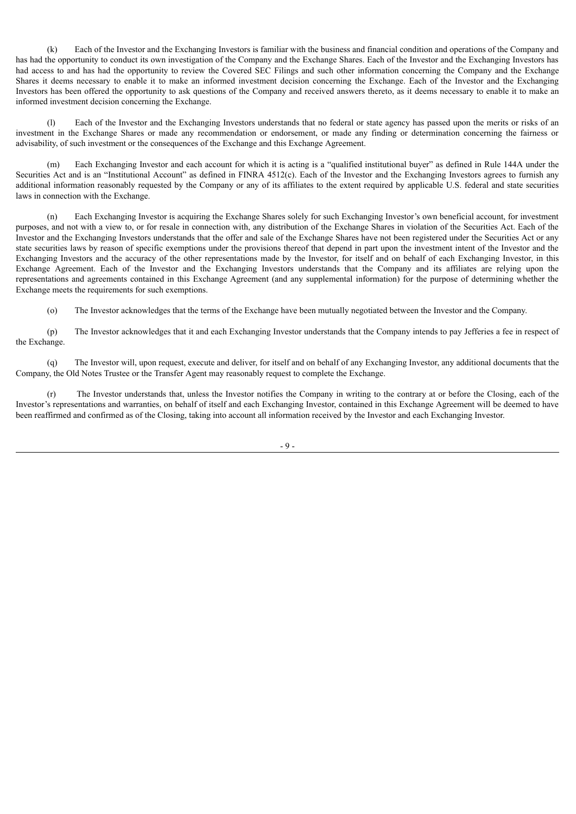(k) Each of the Investor and the Exchanging Investors is familiar with the business and financial condition and operations of the Company and has had the opportunity to conduct its own investigation of the Company and the Exchange Shares. Each of the Investor and the Exchanging Investors has had access to and has had the opportunity to review the Covered SEC Filings and such other information concerning the Company and the Exchange Shares it deems necessary to enable it to make an informed investment decision concerning the Exchange. Each of the Investor and the Exchanging Investors has been offered the opportunity to ask questions of the Company and received answers thereto, as it deems necessary to enable it to make an informed investment decision concerning the Exchange.

(l) Each of the Investor and the Exchanging Investors understands that no federal or state agency has passed upon the merits or risks of an investment in the Exchange Shares or made any recommendation or endorsement, or made any finding or determination concerning the fairness or advisability, of such investment or the consequences of the Exchange and this Exchange Agreement.

(m) Each Exchanging Investor and each account for which it is acting is a "qualified institutional buyer" as defined in Rule 144A under the Securities Act and is an "Institutional Account" as defined in FINRA 4512(c). Each of the Investor and the Exchanging Investors agrees to furnish any additional information reasonably requested by the Company or any of its affiliates to the extent required by applicable U.S. federal and state securities laws in connection with the Exchange.

(n) Each Exchanging Investor is acquiring the Exchange Shares solely for such Exchanging Investor's own beneficial account, for investment purposes, and not with a view to, or for resale in connection with, any distribution of the Exchange Shares in violation of the Securities Act. Each of the Investor and the Exchanging Investors understands that the offer and sale of the Exchange Shares have not been registered under the Securities Act or any state securities laws by reason of specific exemptions under the provisions thereof that depend in part upon the investment intent of the Investor and the Exchanging Investors and the accuracy of the other representations made by the Investor, for itself and on behalf of each Exchanging Investor, in this Exchange Agreement. Each of the Investor and the Exchanging Investors understands that the Company and its affiliates are relying upon the representations and agreements contained in this Exchange Agreement (and any supplemental information) for the purpose of determining whether the Exchange meets the requirements for such exemptions.

(o) The Investor acknowledges that the terms of the Exchange have been mutually negotiated between the Investor and the Company.

(p) The Investor acknowledges that it and each Exchanging Investor understands that the Company intends to pay Jefferies a fee in respect of the Exchange.

(q) The Investor will, upon request, execute and deliver, for itself and on behalf of any Exchanging Investor, any additional documents that the Company, the Old Notes Trustee or the Transfer Agent may reasonably request to complete the Exchange.

(r) The Investor understands that, unless the Investor notifies the Company in writing to the contrary at or before the Closing, each of the Investor's representations and warranties, on behalf of itself and each Exchanging Investor, contained in this Exchange Agreement will be deemed to have been reaffirmed and confirmed as of the Closing, taking into account all information received by the Investor and each Exchanging Investor.

- 9 -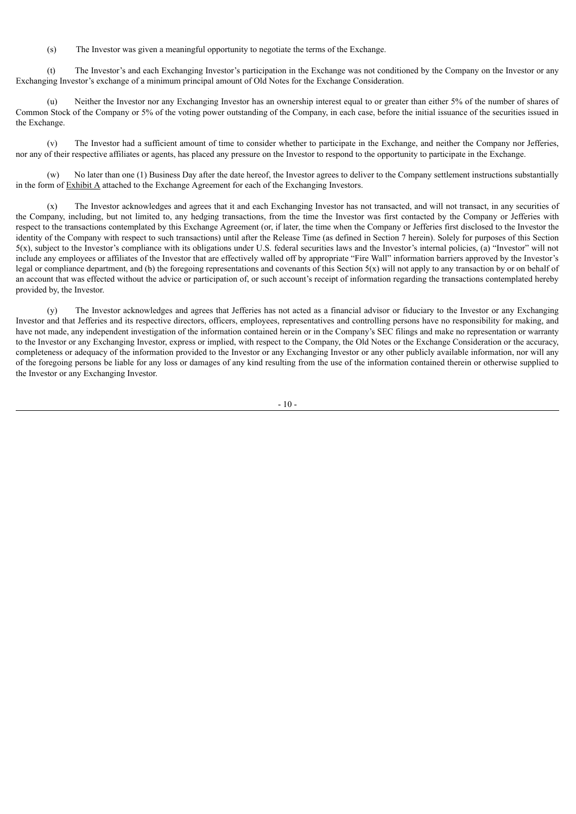(s) The Investor was given a meaningful opportunity to negotiate the terms of the Exchange.

(t) The Investor's and each Exchanging Investor's participation in the Exchange was not conditioned by the Company on the Investor or any Exchanging Investor's exchange of a minimum principal amount of Old Notes for the Exchange Consideration.

(u) Neither the Investor nor any Exchanging Investor has an ownership interest equal to or greater than either 5% of the number of shares of Common Stock of the Company or 5% of the voting power outstanding of the Company, in each case, before the initial issuance of the securities issued in the Exchange.

(v) The Investor had a sufficient amount of time to consider whether to participate in the Exchange, and neither the Company nor Jefferies, nor any of their respective affiliates or agents, has placed any pressure on the Investor to respond to the opportunity to participate in the Exchange.

(w) No later than one (1) Business Day after the date hereof, the Investor agrees to deliver to the Company settlement instructions substantially in the form of **Exhibit A** attached to the Exchange Agreement for each of the Exchanging Investors.

(x) The Investor acknowledges and agrees that it and each Exchanging Investor has not transacted, and will not transact, in any securities of the Company, including, but not limited to, any hedging transactions, from the time the Investor was first contacted by the Company or Jefferies with respect to the transactions contemplated by this Exchange Agreement (or, if later, the time when the Company or Jefferies first disclosed to the Investor the identity of the Company with respect to such transactions) until after the Release Time (as defined in Section 7 herein). Solely for purposes of this Section 5(x), subject to the Investor's compliance with its obligations under U.S. federal securities laws and the Investor's internal policies, (a) "Investor" will not include any employees or affiliates of the Investor that are effectively walled off by appropriate "Fire Wall" information barriers approved by the Investor's legal or compliance department, and (b) the foregoing representations and covenants of this Section  $5(x)$  will not apply to any transaction by or on behalf of an account that was effected without the advice or participation of, or such account's receipt of information regarding the transactions contemplated hereby provided by, the Investor.

(y) The Investor acknowledges and agrees that Jefferies has not acted as a financial advisor or fiduciary to the Investor or any Exchanging Investor and that Jefferies and its respective directors, officers, employees, representatives and controlling persons have no responsibility for making, and have not made, any independent investigation of the information contained herein or in the Company's SEC filings and make no representation or warranty to the Investor or any Exchanging Investor, express or implied, with respect to the Company, the Old Notes or the Exchange Consideration or the accuracy, completeness or adequacy of the information provided to the Investor or any Exchanging Investor or any other publicly available information, nor will any of the foregoing persons be liable for any loss or damages of any kind resulting from the use of the information contained therein or otherwise supplied to the Investor or any Exchanging Investor.

 $-10-$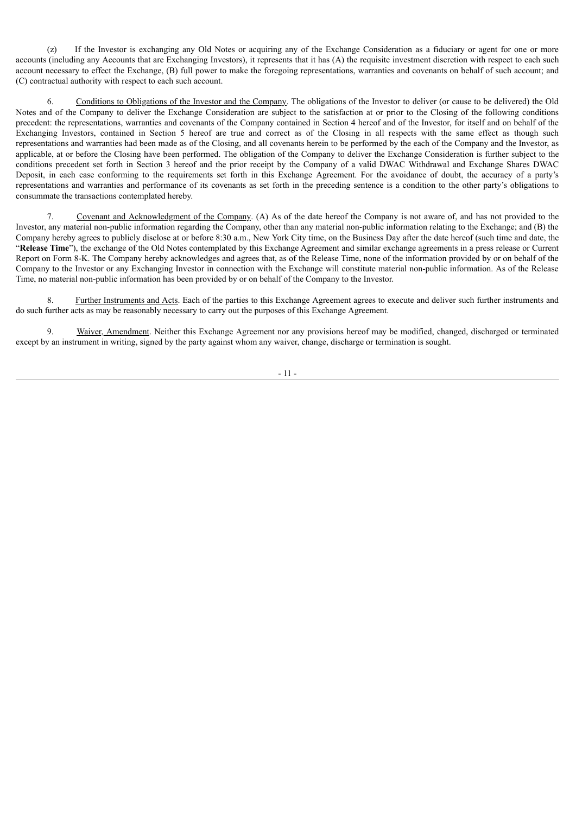(z) If the Investor is exchanging any Old Notes or acquiring any of the Exchange Consideration as a fiduciary or agent for one or more accounts (including any Accounts that are Exchanging Investors), it represents that it has (A) the requisite investment discretion with respect to each such account necessary to effect the Exchange, (B) full power to make the foregoing representations, warranties and covenants on behalf of such account; and (C) contractual authority with respect to each such account.

6. Conditions to Obligations of the Investor and the Company. The obligations of the Investor to deliver (or cause to be delivered) the Old Notes and of the Company to deliver the Exchange Consideration are subject to the satisfaction at or prior to the Closing of the following conditions precedent: the representations, warranties and covenants of the Company contained in Section 4 hereof and of the Investor, for itself and on behalf of the Exchanging Investors, contained in Section 5 hereof are true and correct as of the Closing in all respects with the same effect as though such representations and warranties had been made as of the Closing, and all covenants herein to be performed by the each of the Company and the Investor, as applicable, at or before the Closing have been performed. The obligation of the Company to deliver the Exchange Consideration is further subject to the conditions precedent set forth in Section 3 hereof and the prior receipt by the Company of a valid DWAC Withdrawal and Exchange Shares DWAC Deposit, in each case conforming to the requirements set forth in this Exchange Agreement. For the avoidance of doubt, the accuracy of a party's representations and warranties and performance of its covenants as set forth in the preceding sentence is a condition to the other party's obligations to consummate the transactions contemplated hereby.

Covenant and Acknowledgment of the Company. (A) As of the date hereof the Company is not aware of, and has not provided to the Investor, any material non-public information regarding the Company, other than any material non-public information relating to the Exchange; and (B) the Company hereby agrees to publicly disclose at or before 8:30 a.m., New York City time, on the Business Day after the date hereof (such time and date, the "Release Time"), the exchange of the Old Notes contemplated by this Exchange Agreement and similar exchange agreements in a press release or Current Report on Form 8-K. The Company hereby acknowledges and agrees that, as of the Release Time, none of the information provided by or on behalf of the Company to the Investor or any Exchanging Investor in connection with the Exchange will constitute material non-public information. As of the Release Time, no material non-public information has been provided by or on behalf of the Company to the Investor.

8. Further Instruments and Acts. Each of the parties to this Exchange Agreement agrees to execute and deliver such further instruments and do such further acts as may be reasonably necessary to carry out the purposes of this Exchange Agreement.

9. Waiver, Amendment. Neither this Exchange Agreement nor any provisions hereof may be modified, changed, discharged or terminated except by an instrument in writing, signed by the party against whom any waiver, change, discharge or termination is sought.

- 11 -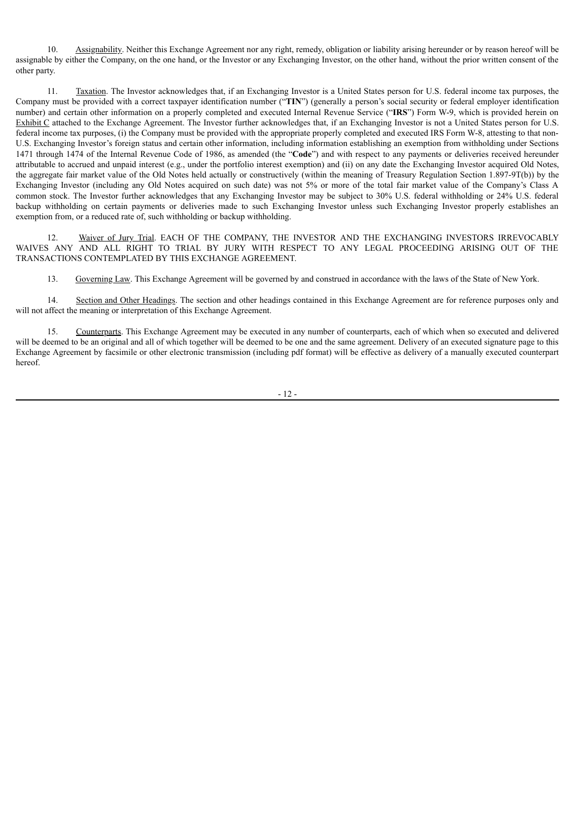10. Assignability. Neither this Exchange Agreement nor any right, remedy, obligation or liability arising hereunder or by reason hereof will be assignable by either the Company, on the one hand, or the Investor or any Exchanging Investor, on the other hand, without the prior written consent of the other party.

11. Taxation. The Investor acknowledges that, if an Exchanging Investor is a United States person for U.S. federal income tax purposes, the Company must be provided with a correct taxpayer identification number ("**TIN**") (generally a person's social security or federal employer identification number) and certain other information on a properly completed and executed Internal Revenue Service ("**IRS**") Form W-9, which is provided herein on Exhibit C attached to the Exchange Agreement. The Investor further acknowledges that, if an Exchanging Investor is not a United States person for U.S. federal income tax purposes, (i) the Company must be provided with the appropriate properly completed and executed IRS Form W-8, attesting to that non-U.S. Exchanging Investor's foreign status and certain other information, including information establishing an exemption from withholding under Sections 1471 through 1474 of the Internal Revenue Code of 1986, as amended (the "**Code**") and with respect to any payments or deliveries received hereunder attributable to accrued and unpaid interest (e.g., under the portfolio interest exemption) and (ii) on any date the Exchanging Investor acquired Old Notes, the aggregate fair market value of the Old Notes held actually or constructively (within the meaning of Treasury Regulation Section 1.897-9T(b)) by the Exchanging Investor (including any Old Notes acquired on such date) was not 5% or more of the total fair market value of the Company's Class A common stock. The Investor further acknowledges that any Exchanging Investor may be subject to 30% U.S. federal withholding or 24% U.S. federal backup withholding on certain payments or deliveries made to such Exchanging Investor unless such Exchanging Investor properly establishes an exemption from, or a reduced rate of, such withholding or backup withholding.

12. Waiver of Jury Trial. EACH OF THE COMPANY, THE INVESTOR AND THE EXCHANGING INVESTORS IRREVOCABLY WAIVES ANY AND ALL RIGHT TO TRIAL BY JURY WITH RESPECT TO ANY LEGAL PROCEEDING ARISING OUT OF THE TRANSACTIONS CONTEMPLATED BY THIS EXCHANGE AGREEMENT.

13. Governing Law. This Exchange Agreement will be governed by and construed in accordance with the laws of the State of New York.

14. Section and Other Headings. The section and other headings contained in this Exchange Agreement are for reference purposes only and will not affect the meaning or interpretation of this Exchange Agreement.

15. Counterparts. This Exchange Agreement may be executed in any number of counterparts, each of which when so executed and delivered will be deemed to be an original and all of which together will be deemed to be one and the same agreement. Delivery of an executed signature page to this Exchange Agreement by facsimile or other electronic transmission (including pdf format) will be effective as delivery of a manually executed counterpart hereof.

- 12 -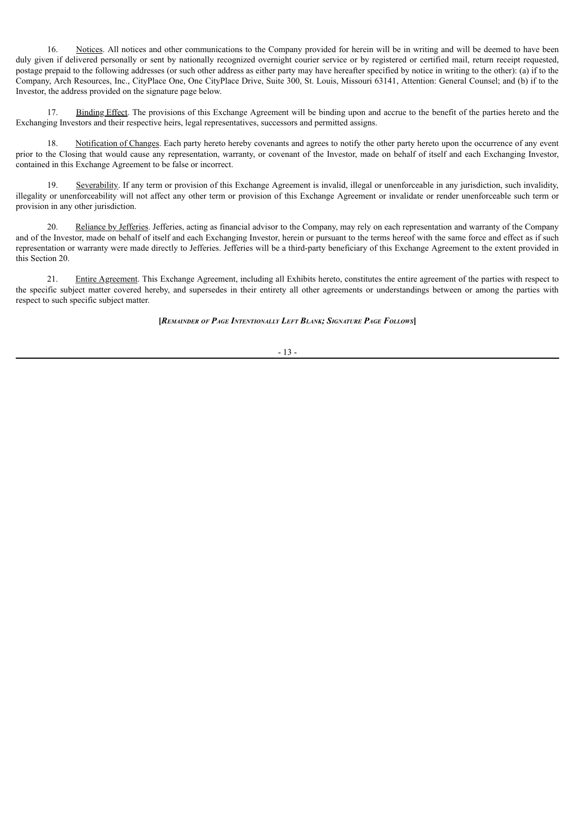16. Notices. All notices and other communications to the Company provided for herein will be in writing and will be deemed to have been duly given if delivered personally or sent by nationally recognized overnight courier service or by registered or certified mail, return receipt requested. postage prepaid to the following addresses (or such other address as either party may have hereafter specified by notice in writing to the other): (a) if to the Company, Arch Resources, Inc., CityPlace One, One CityPlace Drive, Suite 300, St. Louis, Missouri 63141, Attention: General Counsel; and (b) if to the Investor, the address provided on the signature page below.

17. Binding Effect. The provisions of this Exchange Agreement will be binding upon and accrue to the benefit of the parties hereto and the Exchanging Investors and their respective heirs, legal representatives, successors and permitted assigns.

18. Notification of Changes. Each party hereto hereby covenants and agrees to notify the other party hereto upon the occurrence of any event prior to the Closing that would cause any representation, warranty, or covenant of the Investor, made on behalf of itself and each Exchanging Investor, contained in this Exchange Agreement to be false or incorrect.

19. Severability. If any term or provision of this Exchange Agreement is invalid, illegal or unenforceable in any jurisdiction, such invalidity, illegality or unenforceability will not affect any other term or provision of this Exchange Agreement or invalidate or render unenforceable such term or provision in any other jurisdiction.

20. Reliance by Jefferies. Jefferies, acting as financial advisor to the Company, may rely on each representation and warranty of the Company and of the Investor, made on behalf of itself and each Exchanging Investor, herein or pursuant to the terms hereof with the same force and effect as if such representation or warranty were made directly to Jefferies. Jefferies will be a third-party beneficiary of this Exchange Agreement to the extent provided in this Section 20.

21. Entire Agreement. This Exchange Agreement, including all Exhibits hereto, constitutes the entire agreement of the parties with respect to the specific subject matter covered hereby, and supersedes in their entirety all other agreements or understandings between or among the parties with respect to such specific subject matter.

### **[***Remainder of Page Intentionally Left Blank; Signature Page Follows***]**

### - 13 -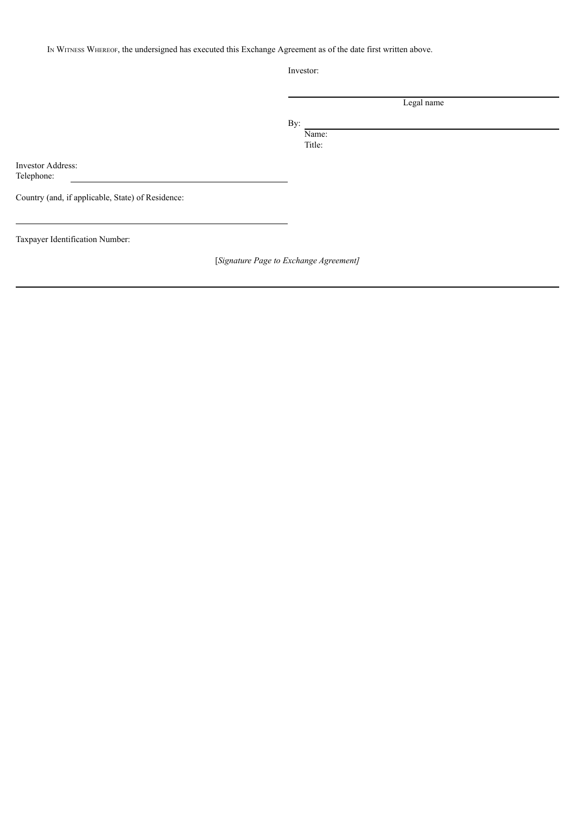In WITNESS WHEREOF, the undersigned has executed this Exchange Agreement as of the date first written above.

Investor:

|       | Legal name |  |
|-------|------------|--|
| By:   |            |  |
| Name: |            |  |

Title:

Investor Address: Telephone:

Country (and, if applicable, State) of Residence:

Taxpayer Identification Number:

[*Signature Page to Exchange Agreement]*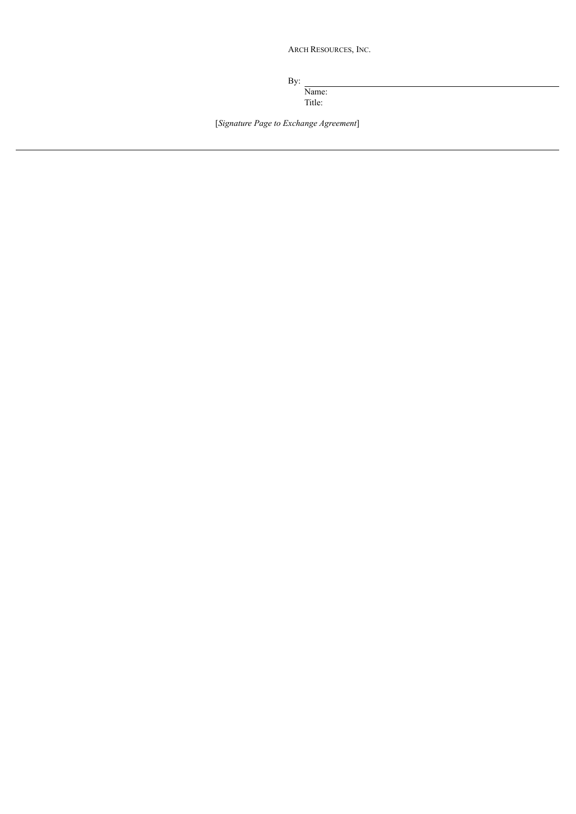ARCH RESOURCES, INC.

By:

Name: Title:

[*Signature Page to Exchange Agreement*]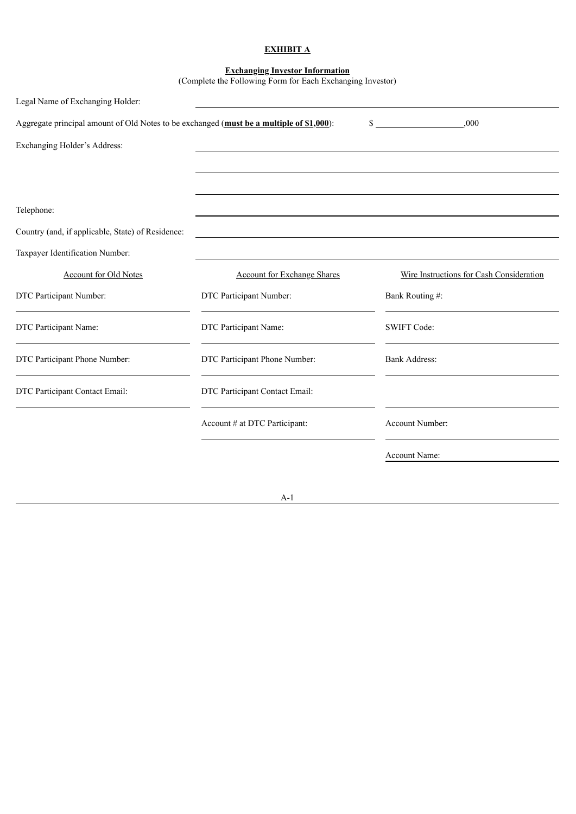# **EXHIBIT A**

#### **Exchanging Investor Information**

(Complete the Following Form for Each Exchanging Investor)

| Legal Name of Exchanging Holder:                                                         |                                    |                                          |
|------------------------------------------------------------------------------------------|------------------------------------|------------------------------------------|
| Aggregate principal amount of Old Notes to be exchanged (must be a multiple of \$1,000): |                                    | .000<br>$\mathbb{S}$                     |
| Exchanging Holder's Address:                                                             |                                    |                                          |
|                                                                                          |                                    |                                          |
|                                                                                          |                                    |                                          |
| Telephone:                                                                               |                                    |                                          |
| Country (and, if applicable, State) of Residence:                                        |                                    |                                          |
| Taxpayer Identification Number:                                                          |                                    |                                          |
| <b>Account for Old Notes</b>                                                             | <b>Account for Exchange Shares</b> | Wire Instructions for Cash Consideration |
| DTC Participant Number:                                                                  | DTC Participant Number:            | Bank Routing #:                          |
| DTC Participant Name:                                                                    | DTC Participant Name:              | <b>SWIFT Code:</b>                       |
| DTC Participant Phone Number:                                                            | DTC Participant Phone Number:      | <b>Bank Address:</b>                     |
| DTC Participant Contact Email:                                                           | DTC Participant Contact Email:     |                                          |
|                                                                                          | Account # at DTC Participant:      | Account Number:                          |
|                                                                                          |                                    | Account Name:                            |

## A-1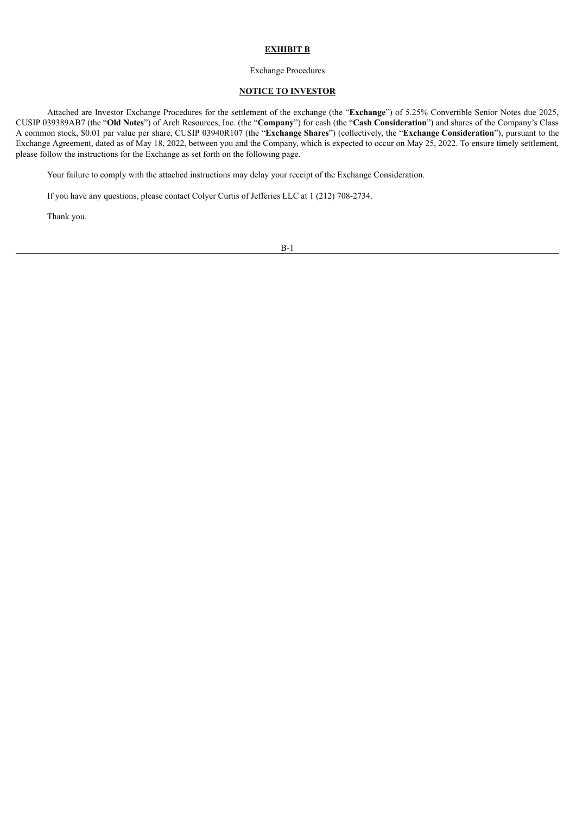### **EXHIBIT B**

#### Exchange Procedures

## **NOTICE TO INVESTOR**

Attached are Investor Exchange Procedures for the settlement of the exchange (the "**Exchange**") of 5.25% Convertible Senior Notes due 2025, CUSIP 039389AB7 (the "**Old Notes**") of Arch Resources, Inc. (the "**Company**") for cash (the "**Cash Consideration**") and shares of the Company's Class A common stock, \$0.01 par value per share, CUSIP 03940R107 (the "**Exchange Shares**") (collectively, the "**Exchange Consideration**"), pursuant to the Exchange Agreement, dated as of May 18, 2022, between you and the Company, which is expected to occur on May 25, 2022. To ensure timely settlement, please follow the instructions for the Exchange as set forth on the following page.

Your failure to comply with the attached instructions may delay your receipt of the Exchange Consideration.

If you have any questions, please contact Colyer Curtis of Jefferies LLC at 1 (212) 708-2734.

Thank you.

B-1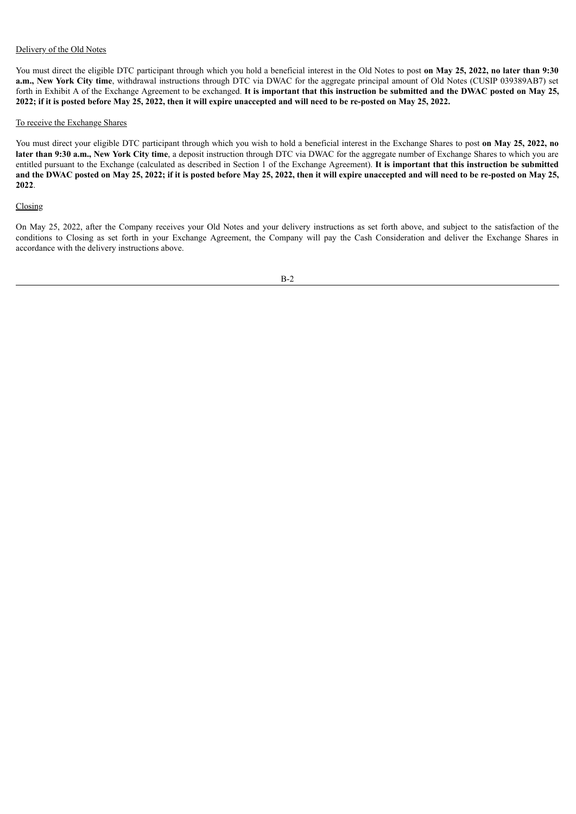## Delivery of the Old Notes

You must direct the eligible DTC participant through which you hold a beneficial interest in the Old Notes to post **on May 25, 2022, no later than 9:30 a.m., New York City time**, withdrawal instructions through DTC via DWAC for the aggregate principal amount of Old Notes (CUSIP 039389AB7) set forth in Exhibit A of the Exchange Agreement to be exchanged. It is important that this instruction be submitted and the DWAC posted on May 25, 2022; if it is posted before May 25, 2022, then it will expire unaccepted and will need to be re-posted on May 25, 2022.

### To receive the Exchange Shares

You must direct your eligible DTC participant through which you wish to hold a beneficial interest in the Exchange Shares to post **on May 25, 2022, no later than 9:30 a.m., New York City time**, a deposit instruction through DTC via DWAC for the aggregate number of Exchange Shares to which you are entitled pursuant to the Exchange (calculated as described in Section 1 of the Exchange Agreement). **It is important that this instruction be submitted** and the DWAC posted on May 25, 2022; if it is posted before May 25, 2022, then it will expire unaccepted and will need to be re-posted on May 25, **2022**.

## Closing

On May 25, 2022, after the Company receives your Old Notes and your delivery instructions as set forth above, and subject to the satisfaction of the conditions to Closing as set forth in your Exchange Agreement, the Company will pay the Cash Consideration and deliver the Exchange Shares in accordance with the delivery instructions above.

B-2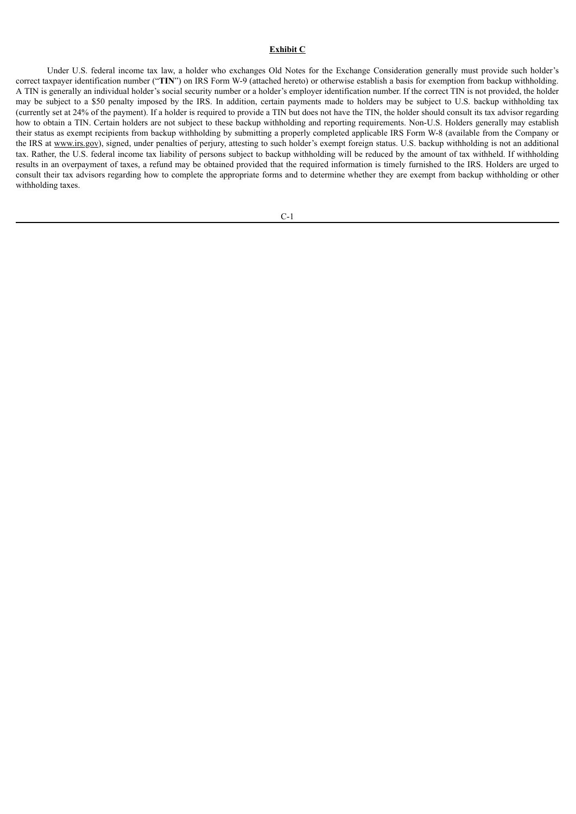## **Exhibit C**

Under U.S. federal income tax law, a holder who exchanges Old Notes for the Exchange Consideration generally must provide such holder's correct taxpayer identification number ("**TIN**") on IRS Form W-9 (attached hereto) or otherwise establish a basis for exemption from backup withholding. A TIN is generally an individual holder's social security number or a holder's employer identification number. If the correct TIN is not provided, the holder may be subject to a \$50 penalty imposed by the IRS. In addition, certain payments made to holders may be subject to U.S. backup withholding tax (currently set at 24% of the payment). If a holder is required to provide a TIN but does not have the TIN, the holder should consult its tax advisor regarding how to obtain a TIN. Certain holders are not subject to these backup withholding and reporting requirements. Non-U.S. Holders generally may establish their status as exempt recipients from backup withholding by submitting a properly completed applicable IRS Form W-8 (available from the Company or the IRS at www.irs.gov), signed, under penalties of perjury, attesting to such holder's exempt foreign status. U.S. backup withholding is not an additional tax. Rather, the U.S. federal income tax liability of persons subject to backup withholding will be reduced by the amount of tax withheld. If withholding results in an overpayment of taxes, a refund may be obtained provided that the required information is timely furnished to the IRS. Holders are urged to consult their tax advisors regarding how to complete the appropriate forms and to determine whether they are exempt from backup withholding or other withholding taxes.

C-1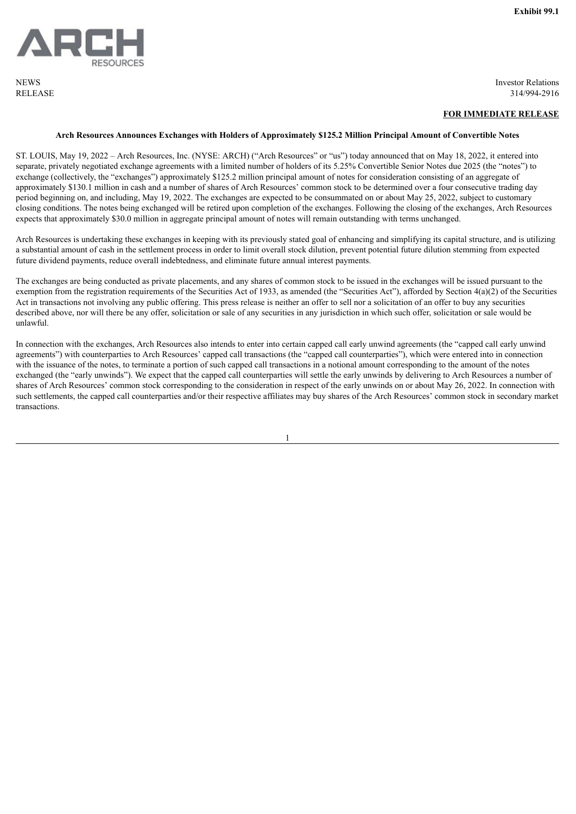<span id="page-23-0"></span>**NEWS** RELEASE Investor Relations 314/994-2916

### **FOR IMMEDIATE RELEASE**

### **Arch Resources Announces Exchanges with Holders of Approximately \$125.2 Million Principal Amount of Convertible Notes**

ST. LOUIS, May 19, 2022 – Arch Resources, Inc. (NYSE: ARCH) ("Arch Resources" or "us") today announced that on May 18, 2022, it entered into separate, privately negotiated exchange agreements with a limited number of holders of its 5.25% Convertible Senior Notes due 2025 (the "notes") to exchange (collectively, the "exchanges") approximately \$125.2 million principal amount of notes for consideration consisting of an aggregate of approximately \$130.1 million in cash and a number of shares of Arch Resources' common stock to be determined over a four consecutive trading day period beginning on, and including, May 19, 2022. The exchanges are expected to be consummated on or about May 25, 2022, subject to customary closing conditions. The notes being exchanged will be retired upon completion of the exchanges. Following the closing of the exchanges, Arch Resources expects that approximately \$30.0 million in aggregate principal amount of notes will remain outstanding with terms unchanged.

Arch Resources is undertaking these exchanges in keeping with its previously stated goal of enhancing and simplifying its capital structure, and is utilizing a substantial amount of cash in the settlement process in order to limit overall stock dilution, prevent potential future dilution stemming from expected future dividend payments, reduce overall indebtedness, and eliminate future annual interest payments.

The exchanges are being conducted as private placements, and any shares of common stock to be issued in the exchanges will be issued pursuant to the exemption from the registration requirements of the Securities Act of 1933, as amended (the "Securities Act"), afforded by Section 4(a)(2) of the Securities Act in transactions not involving any public offering. This press release is neither an offer to sell nor a solicitation of an offer to buy any securities described above, nor will there be any offer, solicitation or sale of any securities in any jurisdiction in which such offer, solicitation or sale would be unlawful.

In connection with the exchanges, Arch Resources also intends to enter into certain capped call early unwind agreements (the "capped call early unwind agreements") with counterparties to Arch Resources' capped call transactions (the "capped call counterparties"), which were entered into in connection with the issuance of the notes, to terminate a portion of such capped call transactions in a notional amount corresponding to the amount of the notes exchanged (the "early unwinds"). We expect that the capped call counterparties will settle the early unwinds by delivering to Arch Resources a number of shares of Arch Resources' common stock corresponding to the consideration in respect of the early unwinds on or about May 26, 2022. In connection with such settlements, the capped call counterparties and/or their respective affiliates may buy shares of the Arch Resources' common stock in secondary market transactions.

1